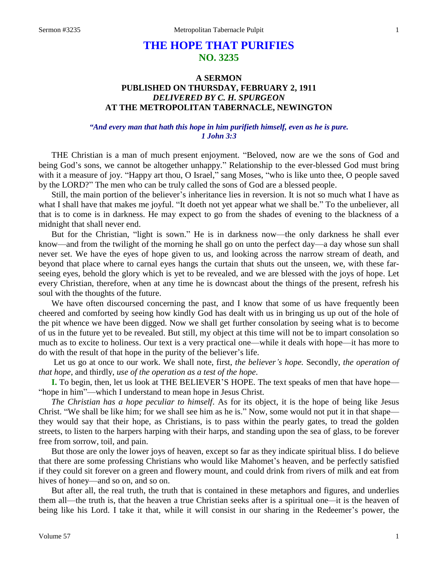# **THE HOPE THAT PURIFIES NO. 3235**

# **A SERMON PUBLISHED ON THURSDAY, FEBRUARY 2, 1911** *DELIVERED BY C. H. SPURGEON* **AT THE METROPOLITAN TABERNACLE, NEWINGTON**

## *"And every man that hath this hope in him purifieth himself, even as he is pure. 1 John 3:3*

THE Christian is a man of much present enjoyment. "Beloved, now are we the sons of God and being God's sons, we cannot be altogether unhappy." Relationship to the ever-blessed God must bring with it a measure of joy. "Happy art thou, O Israel," sang Moses, "who is like unto thee, O people saved by the LORD?" The men who can be truly called the sons of God are a blessed people.

Still, the main portion of the believer's inheritance lies in reversion. It is not so much what I have as what I shall have that makes me joyful. "It doeth not yet appear what we shall be." To the unbeliever, all that is to come is in darkness. He may expect to go from the shades of evening to the blackness of a midnight that shall never end.

But for the Christian, "light is sown." He is in darkness now—the only darkness he shall ever know—and from the twilight of the morning he shall go on unto the perfect day—a day whose sun shall never set. We have the eyes of hope given to us, and looking across the narrow stream of death, and beyond that place where to carnal eyes hangs the curtain that shuts out the unseen, we, with these farseeing eyes, behold the glory which is yet to be revealed, and we are blessed with the joys of hope. Let every Christian, therefore, when at any time he is downcast about the things of the present, refresh his soul with the thoughts of the future.

We have often discoursed concerning the past, and I know that some of us have frequently been cheered and comforted by seeing how kindly God has dealt with us in bringing us up out of the hole of the pit whence we have been digged. Now we shall get further consolation by seeing what is to become of us in the future yet to be revealed. But still, my object at this time will not be to impart consolation so much as to excite to holiness. Our text is a very practical one—while it deals with hope—it has more to do with the result of that hope in the purity of the believer's life.

Let us go at once to our work. We shall note, first, *the believer's hope.* Secondly, *the operation of that hope*, and thirdly, *use of the operation as a test of the hope*.

**I.** To begin, then, let us look at THE BELIEVER'S HOPE. The text speaks of men that have hope— "hope in him"—which I understand to mean hope in Jesus Christ.

*The Christian has a hope peculiar to himself*. As for its object, it is the hope of being like Jesus Christ. "We shall be like him; for we shall see him as he is." Now, some would not put it in that shape they would say that their hope, as Christians, is to pass within the pearly gates, to tread the golden streets, to listen to the harpers harping with their harps, and standing upon the sea of glass, to be forever free from sorrow, toil, and pain.

But those are only the lower joys of heaven, except so far as they indicate spiritual bliss. I do believe that there are some professing Christians who would like Mahomet's heaven, and be perfectly satisfied if they could sit forever on a green and flowery mount, and could drink from rivers of milk and eat from hives of honey—and so on, and so on.

But after all, the real truth, the truth that is contained in these metaphors and figures, and underlies them all—the truth is, that the heaven a true Christian seeks after is a spiritual one*—*it is the heaven of being like his Lord. I take it that, while it will consist in our sharing in the Redeemer's power, the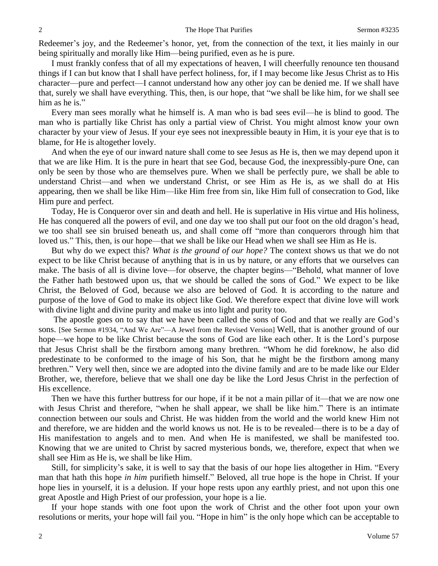Redeemer's joy, and the Redeemer's honor, yet, from the connection of the text, it lies mainly in our being spiritually and morally like Him—being purified, even as he is pure.

I must frankly confess that of all my expectations of heaven, I will cheerfully renounce ten thousand things if I can but know that I shall have perfect holiness, for, if I may become like Jesus Christ as to His character—pure and perfect—I cannot understand how any other joy can be denied me. If we shall have that, surely we shall have everything. This, then, is our hope, that "we shall be like him, for we shall see him as he is."

Every man sees morally what he himself is. A man who is bad sees evil—he is blind to good. The man who is partially like Christ has only a partial view of Christ. You might almost know your own character by your view of Jesus. If your eye sees not inexpressible beauty in Him, it is your eye that is to blame, for He is altogether lovely.

And when the eye of our inward nature shall come to see Jesus as He is, then we may depend upon it that we are like Him. It is the pure in heart that see God, because God, the inexpressibly-pure One, can only be seen by those who are themselves pure. When we shall be perfectly pure, we shall be able to understand Christ—and when we understand Christ, or see Him as He is, as we shall do at His appearing, then we shall be like Him—like Him free from sin, like Him full of consecration to God, like Him pure and perfect.

Today, He is Conqueror over sin and death and hell. He is superlative in His virtue and His holiness, He has conquered all the powers of evil, and one day we too shall put our foot on the old dragon's head, we too shall see sin bruised beneath us, and shall come off "more than conquerors through him that loved us." This, then, is our hope—that we shall be like our Head when we shall see Him as He is.

But why do we expect this? *What is the ground of our hope?* The context shows us that we do not expect to be like Christ because of anything that is in us by nature, or any efforts that we ourselves can make. The basis of all is divine love—for observe, the chapter begins—"Behold, what manner of love the Father hath bestowed upon us, that we should be called the sons of God." We expect to be like Christ, the Beloved of God, because we also are beloved of God. It is according to the nature and purpose of the love of God to make its object like God. We therefore expect that divine love will work with divine light and divine purity and make us into light and purity too.

The apostle goes on to say that we have been called the sons of God and that we really are God's sons. [See Sermon #1934, "And We Are"—A Jewel from the Revised Version] Well, that is another ground of our hope—we hope to be like Christ because the sons of God are like each other. It is the Lord's purpose that Jesus Christ shall be the firstborn among many brethren. "Whom he did foreknow, he also did predestinate to be conformed to the image of his Son, that he might be the firstborn among many brethren." Very well then, since we are adopted into the divine family and are to be made like our Elder Brother, we, therefore, believe that we shall one day be like the Lord Jesus Christ in the perfection of His excellence.

Then we have this further buttress for our hope, if it be not a main pillar of it—that we are now one with Jesus Christ and therefore, "when he shall appear, we shall be like him." There is an intimate connection between our souls and Christ. He was hidden from the world and the world knew Him not and therefore, we are hidden and the world knows us not. He is to be revealed—there is to be a day of His manifestation to angels and to men. And when He is manifested, we shall be manifested too. Knowing that we are united to Christ by sacred mysterious bonds, we, therefore, expect that when we shall see Him as He is, we shall be like Him.

Still, for simplicity's sake, it is well to say that the basis of our hope lies altogether in Him. "Every man that hath this hope *in him* purifieth himself." Beloved, all true hope is the hope in Christ. If your hope lies in yourself, it is a delusion. If your hope rests upon any earthly priest, and not upon this one great Apostle and High Priest of our profession, your hope is a lie.

If your hope stands with one foot upon the work of Christ and the other foot upon your own resolutions or merits, your hope will fail you. "Hope in him" is the only hope which can be acceptable to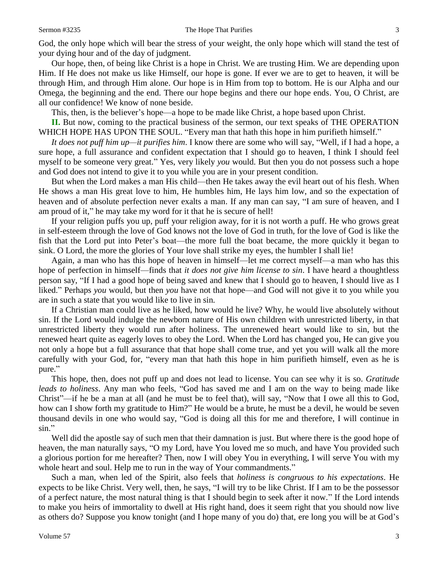God, the only hope which will bear the stress of your weight, the only hope which will stand the test of your dying hour and of the day of judgment.

Our hope, then, of being like Christ is a hope in Christ. We are trusting Him. We are depending upon Him. If He does not make us like Himself, our hope is gone. If ever we are to get to heaven, it will be through Him, and through Him alone. Our hope is in Him from top to bottom. He is our Alpha and our Omega, the beginning and the end. There our hope begins and there our hope ends. You, O Christ, are all our confidence! We know of none beside.

This, then, is the believer's hope—a hope to be made like Christ, a hope based upon Christ.

**II.** But now, coming to the practical business of the sermon, our text speaks of THE OPERATION WHICH HOPE HAS UPON THE SOUL. "Every man that hath this hope in him purifieth himself."

*It does not puff him up—it purifies him*. I know there are some who will say, "Well, if I had a hope, a sure hope, a full assurance and confident expectation that I should go to heaven, I think I should feel myself to be someone very great." Yes, very likely *you* would. But then you do not possess such a hope and God does not intend to give it to you while you are in your present condition.

But when the Lord makes a man His child—then He takes away the evil heart out of his flesh. When He shows a man His great love to him, He humbles him, He lays him low, and so the expectation of heaven and of absolute perfection never exalts a man. If any man can say, "I am sure of heaven, and I am proud of it," he may take my word for it that he is secure of hell!

If your religion puffs you up, puff your religion away, for it is not worth a puff. He who grows great in self-esteem through the love of God knows not the love of God in truth, for the love of God is like the fish that the Lord put into Peter's boat—the more full the boat became, the more quickly it began to sink. O Lord, the more the glories of Your love shall strike my eyes, the humbler I shall lie!

Again, a man who has this hope of heaven in himself—let me correct myself—a man who has this hope of perfection in himself—finds that *it does not give him license to sin*. I have heard a thoughtless person say, "If I had a good hope of being saved and knew that I should go to heaven, I should live as I liked." Perhaps *you* would, but then *you* have not that hope—and God will not give it to you while you are in such a state that you would like to live in sin.

If a Christian man could live as he liked, how would he live? Why, he would live absolutely without sin. If the Lord would indulge the newborn nature of His own children with unrestricted liberty, in that unrestricted liberty they would run after holiness. The unrenewed heart would like to sin, but the renewed heart quite as eagerly loves to obey the Lord. When the Lord has changed you, He can give you not only a hope but a full assurance that that hope shall come true, and yet you will walk all the more carefully with your God, for, "every man that hath this hope in him purifieth himself, even as he is pure."

This hope, then, does not puff up and does not lead to license. You can see why it is so. *Gratitude leads to holiness*. Any man who feels, "God has saved me and I am on the way to being made like Christ"—if he be a man at all (and he must be to feel that), will say, "Now that I owe all this to God, how can I show forth my gratitude to Him?" He would be a brute, he must be a devil, he would be seven thousand devils in one who would say, "God is doing all this for me and therefore, I will continue in sin."

Well did the apostle say of such men that their damnation is just. But where there is the good hope of heaven, the man naturally says, "O my Lord, have You loved me so much, and have You provided such a glorious portion for me hereafter? Then, now I will obey You in everything, I will serve You with my whole heart and soul. Help me to run in the way of Your commandments."

Such a man, when led of the Spirit, also feels that *holiness is congruous to his expectations*. He expects to be like Christ. Very well, then, he says, "I will try to be like Christ. If I am to be the possessor of a perfect nature, the most natural thing is that I should begin to seek after it now." If the Lord intends to make you heirs of immortality to dwell at His right hand, does it seem right that you should now live as others do? Suppose you know tonight (and I hope many of you do) that, ere long you will be at God's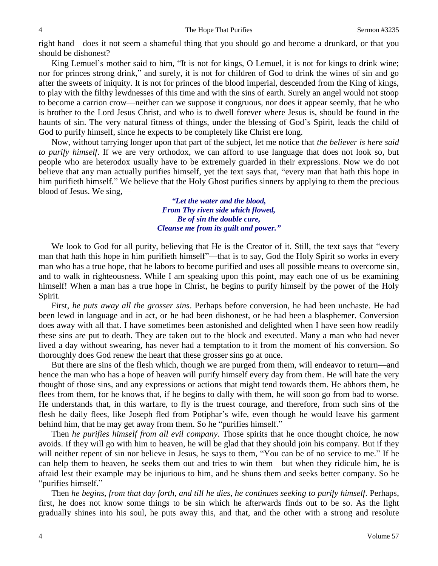right hand—does it not seem a shameful thing that you should go and become a drunkard, or that you should be dishonest?

King Lemuel's mother said to him, "It is not for kings, O Lemuel, it is not for kings to drink wine; nor for princes strong drink," and surely, it is not for children of God to drink the wines of sin and go after the sweets of iniquity. It is not for princes of the blood imperial, descended from the King of kings, to play with the filthy lewdnesses of this time and with the sins of earth. Surely an angel would not stoop to become a carrion crow—neither can we suppose it congruous, nor does it appear seemly, that he who is brother to the Lord Jesus Christ, and who is to dwell forever where Jesus is, should be found in the haunts of sin. The very natural fitness of things, under the blessing of God's Spirit, leads the child of God to purify himself, since he expects to be completely like Christ ere long.

Now, without tarrying longer upon that part of the subject, let me notice that *the believer is here said to purify himself*. If we are very orthodox, we can afford to use language that does not look so, but people who are heterodox usually have to be extremely guarded in their expressions. Now we do not believe that any man actually purifies himself, yet the text says that, "every man that hath this hope in him purifieth himself." We believe that the Holy Ghost purifies sinners by applying to them the precious blood of Jesus. We sing,—

> *"Let the water and the blood, From Thy riven side which flowed, Be of sin the double cure, Cleanse me from its guilt and power."*

We look to God for all purity, believing that He is the Creator of it. Still, the text says that "every man that hath this hope in him purifieth himself"—that is to say, God the Holy Spirit so works in every man who has a true hope, that he labors to become purified and uses all possible means to overcome sin, and to walk in righteousness. While I am speaking upon this point, may each one of us be examining himself! When a man has a true hope in Christ, he begins to purify himself by the power of the Holy Spirit.

First, *he puts away all the grosser sins*. Perhaps before conversion, he had been unchaste. He had been lewd in language and in act, or he had been dishonest, or he had been a blasphemer. Conversion does away with all that. I have sometimes been astonished and delighted when I have seen how readily these sins are put to death. They are taken out to the block and executed. Many a man who had never lived a day without swearing, has never had a temptation to it from the moment of his conversion. So thoroughly does God renew the heart that these grosser sins go at once.

But there are sins of the flesh which, though we are purged from them, will endeavor to return—and hence the man who has a hope of heaven will purify himself every day from them. He will hate the very thought of those sins, and any expressions or actions that might tend towards them. He abhors them, he flees from them, for he knows that, if he begins to dally with them, he will soon go from bad to worse. He understands that, in this warfare, to fly is the truest courage, and therefore, from such sins of the flesh he daily flees, like Joseph fled from Potiphar's wife, even though he would leave his garment behind him, that he may get away from them. So he "purifies himself."

Then *he purifies himself from all evil company*. Those spirits that he once thought choice, he now avoids. If they will go with him to heaven, he will be glad that they should join his company. But if they will neither repent of sin nor believe in Jesus, he says to them, "You can be of no service to me." If he can help them to heaven, he seeks them out and tries to win them—but when they ridicule him, he is afraid lest their example may be injurious to him, and he shuns them and seeks better company. So he "purifies himself."

Then *he begins, from that day forth, and till he dies, he continues seeking to purify himself*. Perhaps, first, he does not know some things to be sin which he afterwards finds out to be so. As the light gradually shines into his soul, he puts away this, and that, and the other with a strong and resolute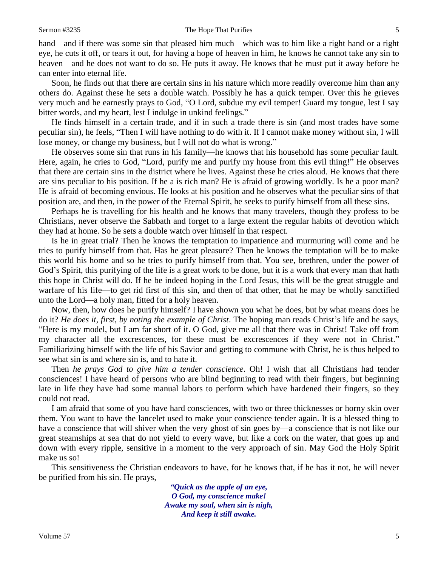### Sermon #3235 The Hope That Purifies 5

hand—and if there was some sin that pleased him much—which was to him like a right hand or a right eye, he cuts it off, or tears it out, for having a hope of heaven in him, he knows he cannot take any sin to heaven—and he does not want to do so. He puts it away. He knows that he must put it away before he can enter into eternal life.

Soon, he finds out that there are certain sins in his nature which more readily overcome him than any others do. Against these he sets a double watch. Possibly he has a quick temper. Over this he grieves very much and he earnestly prays to God, "O Lord, subdue my evil temper! Guard my tongue, lest I say bitter words, and my heart, lest I indulge in unkind feelings."

He finds himself in a certain trade, and if in such a trade there is sin (and most trades have some peculiar sin), he feels, "Then I will have nothing to do with it. If I cannot make money without sin, I will lose money, or change my business, but I will not do what is wrong."

He observes some sin that runs in his family—he knows that his household has some peculiar fault. Here, again, he cries to God, "Lord, purify me and purify my house from this evil thing!" He observes that there are certain sins in the district where he lives. Against these he cries aloud. He knows that there are sins peculiar to his position. If he a is rich man? He is afraid of growing worldly. Is he a poor man? He is afraid of becoming envious. He looks at his position and he observes what the peculiar sins of that position are, and then, in the power of the Eternal Spirit, he seeks to purify himself from all these sins.

Perhaps he is travelling for his health and he knows that many travelers, though they profess to be Christians, never observe the Sabbath and forget to a large extent the regular habits of devotion which they had at home. So he sets a double watch over himself in that respect.

Is he in great trial? Then he knows the temptation to impatience and murmuring will come and he tries to purify himself from that. Has he great pleasure? Then he knows the temptation will be to make this world his home and so he tries to purify himself from that. You see, brethren, under the power of God's Spirit, this purifying of the life is a great work to be done, but it is a work that every man that hath this hope in Christ will do. If he be indeed hoping in the Lord Jesus, this will be the great struggle and warfare of his life—to get rid first of this sin, and then of that other, that he may be wholly sanctified unto the Lord—a holy man, fitted for a holy heaven.

Now, then, how does he purify himself? I have shown you what he does, but by what means does he do it? *He does it, first, by noting the example of Christ*. The hoping man reads Christ's life and he says, "Here is my model, but I am far short of it. O God, give me all that there was in Christ! Take off from my character all the excrescences, for these must be excrescences if they were not in Christ." Familiarizing himself with the life of his Savior and getting to commune with Christ, he is thus helped to see what sin is and where sin is, and to hate it.

Then *he prays God to give him a tender conscience*. Oh! I wish that all Christians had tender consciences! I have heard of persons who are blind beginning to read with their fingers, but beginning late in life they have had some manual labors to perform which have hardened their fingers, so they could not read.

I am afraid that some of you have hard consciences, with two or three thicknesses or horny skin over them. You want to have the lancelet used to make your conscience tender again. It is a blessed thing to have a conscience that will shiver when the very ghost of sin goes by—a conscience that is not like our great steamships at sea that do not yield to every wave, but like a cork on the water, that goes up and down with every ripple, sensitive in a moment to the very approach of sin. May God the Holy Spirit make us so!

This sensitiveness the Christian endeavors to have, for he knows that, if he has it not, he will never be purified from his sin. He prays,

> *"Quick as the apple of an eye, O God, my conscience make! Awake my soul, when sin is nigh, And keep it still awake.*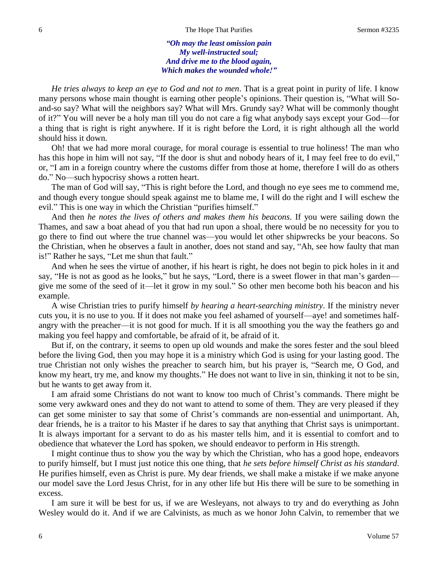*"Oh may the least omission pain My well-instructed soul; And drive me to the blood again, Which makes the wounded whole!"*

*He tries always to keep an eye to God and not to men*. That is a great point in purity of life. I know many persons whose main thought is earning other people's opinions. Their question is, "What will Soand-so say? What will the neighbors say? What will Mrs. Grundy say? What will be commonly thought of it?" You will never be a holy man till you do not care a fig what anybody says except your God—for a thing that is right is right anywhere. If it is right before the Lord, it is right although all the world should hiss it down.

Oh! that we had more moral courage, for moral courage is essential to true holiness! The man who has this hope in him will not say, "If the door is shut and nobody hears of it, I may feel free to do evil," or, "I am in a foreign country where the customs differ from those at home, therefore I will do as others do." No—such hypocrisy shows a rotten heart.

The man of God will say, "This is right before the Lord, and though no eye sees me to commend me, and though every tongue should speak against me to blame me, I will do the right and I will eschew the evil." This is one way in which the Christian "purifies himself."

And then *he notes the lives of others and makes them his beacons*. If you were sailing down the Thames, and saw a boat ahead of you that had run upon a shoal, there would be no necessity for you to go there to find out where the true channel was—you would let other shipwrecks be your beacons. So the Christian, when he observes a fault in another, does not stand and say, "Ah, see how faulty that man is!" Rather he says, "Let me shun that fault."

And when he sees the virtue of another, if his heart is right, he does not begin to pick holes in it and say, "He is not as good as he looks," but he says, "Lord, there is a sweet flower in that man's garden give me some of the seed of it—let it grow in my soul." So other men become both his beacon and his example.

A wise Christian tries to purify himself *by hearing a heart-searching ministry*. If the ministry never cuts you, it is no use to you. If it does not make you feel ashamed of yourself—aye! and sometimes halfangry with the preacher—it is not good for much. If it is all smoothing you the way the feathers go and making you feel happy and comfortable, be afraid of it, be afraid of it.

But if, on the contrary, it seems to open up old wounds and make the sores fester and the soul bleed before the living God, then you may hope it is a ministry which God is using for your lasting good. The true Christian not only wishes the preacher to search him, but his prayer is, "Search me, O God, and know my heart, try me, and know my thoughts." He does not want to live in sin, thinking it not to be sin, but he wants to get away from it.

I am afraid some Christians do not want to know too much of Christ's commands. There might be some very awkward ones and they do not want to attend to some of them. They are very pleased if they can get some minister to say that some of Christ's commands are non-essential and unimportant. Ah, dear friends, he is a traitor to his Master if he dares to say that anything that Christ says is unimportant. It is always important for a servant to do as his master tells him, and it is essential to comfort and to obedience that whatever the Lord has spoken, we should endeavor to perform in His strength.

I might continue thus to show you the way by which the Christian, who has a good hope, endeavors to purify himself, but I must just notice this one thing, that *he sets before himself Christ as his standard*. He purifies himself, even as Christ is pure. My dear friends, we shall make a mistake if we make anyone our model save the Lord Jesus Christ, for in any other life but His there will be sure to be something in excess.

I am sure it will be best for us, if we are Wesleyans, not always to try and do everything as John Wesley would do it. And if we are Calvinists, as much as we honor John Calvin, to remember that we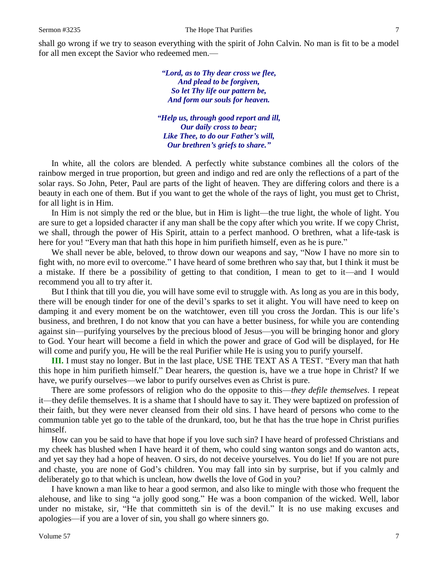shall go wrong if we try to season everything with the spirit of John Calvin. No man is fit to be a model for all men except the Savior who redeemed men.—

> *"Lord, as to Thy dear cross we flee, And plead to be forgiven, So let Thy life our pattern be, And form our souls for heaven.*

*"Help us, through good report and ill, Our daily cross to bear; Like Thee, to do our Father's will, Our brethren's griefs to share."*

In white, all the colors are blended. A perfectly white substance combines all the colors of the rainbow merged in true proportion, but green and indigo and red are only the reflections of a part of the solar rays. So John, Peter, Paul are parts of the light of heaven. They are differing colors and there is a beauty in each one of them. But if you want to get the whole of the rays of light, you must get to Christ, for all light is in Him.

In Him is not simply the red or the blue, but in Him is light—the true light, the whole of light. You are sure to get a lopsided character if any man shall be the copy after which you write. If we copy Christ, we shall, through the power of His Spirit, attain to a perfect manhood. O brethren, what a life-task is here for you! "Every man that hath this hope in him purifieth himself, even as he is pure."

We shall never be able, beloved, to throw down our weapons and say, "Now I have no more sin to fight with, no more evil to overcome." I have heard of some brethren who say that, but I think it must be a mistake. If there be a possibility of getting to that condition, I mean to get to it—and I would recommend you all to try after it.

But I think that till you die, you will have some evil to struggle with. As long as you are in this body, there will be enough tinder for one of the devil's sparks to set it alight. You will have need to keep on damping it and every moment be on the watchtower, even till you cross the Jordan. This is our life's business, and brethren, I do not know that you can have a better business, for while you are contending against sin—purifying yourselves by the precious blood of Jesus—you will be bringing honor and glory to God. Your heart will become a field in which the power and grace of God will be displayed, for He will come and purify you, He will be the real Purifier while He is using you to purify yourself.

**III.** I must stay no longer. But in the last place, USE THE TEXT AS A TEST. "Every man that hath this hope in him purifieth himself." Dear hearers, the question is, have we a true hope in Christ? If we have, we purify ourselves—we labor to purify ourselves even as Christ is pure.

There are some professors of religion who do the opposite to this—*they defile themselves*. I repeat it—they defile themselves. It is a shame that I should have to say it. They were baptized on profession of their faith, but they were never cleansed from their old sins. I have heard of persons who come to the communion table yet go to the table of the drunkard, too, but he that has the true hope in Christ purifies himself.

How can you be said to have that hope if you love such sin? I have heard of professed Christians and my cheek has blushed when I have heard it of them, who could sing wanton songs and do wanton acts, and yet say they had a hope of heaven. O sirs, do not deceive yourselves. You do lie! If you are not pure and chaste, you are none of God's children. You may fall into sin by surprise, but if you calmly and deliberately go to that which is unclean, how dwells the love of God in you?

I have known a man like to hear a good sermon, and also like to mingle with those who frequent the alehouse, and like to sing "a jolly good song." He was a boon companion of the wicked. Well, labor under no mistake, sir, "He that committeth sin is of the devil." It is no use making excuses and apologies—if you are a lover of sin, you shall go where sinners go.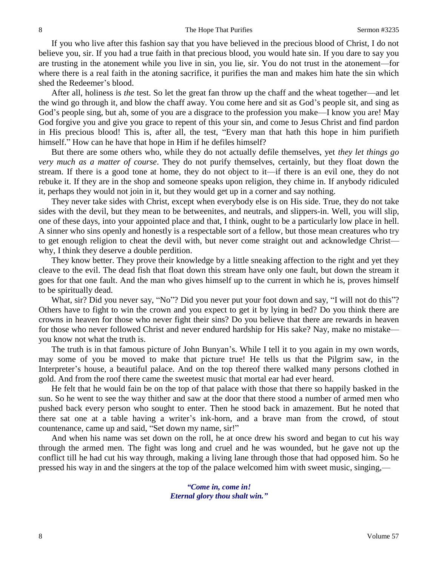If you who live after this fashion say that you have believed in the precious blood of Christ, I do not believe you, sir. If you had a true faith in that precious blood, you would hate sin. If you dare to say you are trusting in the atonement while you live in sin, you lie, sir. You do not trust in the atonement—for where there is a real faith in the atoning sacrifice, it purifies the man and makes him hate the sin which shed the Redeemer's blood.

After all, holiness is *the* test. So let the great fan throw up the chaff and the wheat together—and let the wind go through it, and blow the chaff away. You come here and sit as God's people sit, and sing as God's people sing, but ah, some of you are a disgrace to the profession you make—I know you are! May God forgive you and give you grace to repent of this your sin, and come to Jesus Christ and find pardon in His precious blood! This is, after all, the test, "Every man that hath this hope in him purifieth himself." How can he have that hope in Him if he defiles himself?

But there are some others who, while they do not actually defile themselves, yet *they let things go very much as a matter of course*. They do not purify themselves, certainly, but they float down the stream. If there is a good tone at home, they do not object to it—if there is an evil one, they do not rebuke it. If they are in the shop and someone speaks upon religion, they chime in. If anybody ridiculed it, perhaps they would not join in it, but they would get up in a corner and say nothing.

They never take sides with Christ, except when everybody else is on His side. True, they do not take sides with the devil, but they mean to be betweenites, and neutrals, and slippers-in. Well, you will slip, one of these days, into your appointed place and that, I think, ought to be a particularly low place in hell. A sinner who sins openly and honestly is a respectable sort of a fellow, but those mean creatures who try to get enough religion to cheat the devil with, but never come straight out and acknowledge Christ why, I think they deserve a double perdition.

They know better. They prove their knowledge by a little sneaking affection to the right and yet they cleave to the evil. The dead fish that float down this stream have only one fault, but down the stream it goes for that one fault. And the man who gives himself up to the current in which he is, proves himself to be spiritually dead.

What, sir? Did you never say, "No"? Did you never put your foot down and say, "I will not do this"? Others have to fight to win the crown and you expect to get it by lying in bed? Do you think there are crowns in heaven for those who never fight their sins? Do you believe that there are rewards in heaven for those who never followed Christ and never endured hardship for His sake? Nay, make no mistake you know not what the truth is.

The truth is in that famous picture of John Bunyan's. While I tell it to you again in my own words, may some of you be moved to make that picture true! He tells us that the Pilgrim saw, in the Interpreter's house, a beautiful palace. And on the top thereof there walked many persons clothed in gold. And from the roof there came the sweetest music that mortal ear had ever heard.

He felt that he would fain be on the top of that palace with those that there so happily basked in the sun. So he went to see the way thither and saw at the door that there stood a number of armed men who pushed back every person who sought to enter. Then he stood back in amazement. But he noted that there sat one at a table having a writer's ink-horn, and a brave man from the crowd, of stout countenance, came up and said, "Set down my name, sir!"

And when his name was set down on the roll, he at once drew his sword and began to cut his way through the armed men. The fight was long and cruel and he was wounded, but he gave not up the conflict till he had cut his way through, making a living lane through those that had opposed him. So he pressed his way in and the singers at the top of the palace welcomed him with sweet music, singing,—

> *"Come in, come in! Eternal glory thou shalt win."*